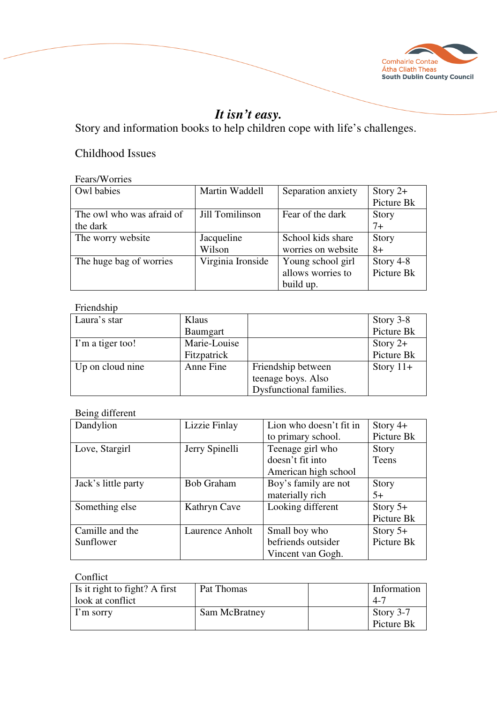

# *It isn't easy.*

Story and information books to help children cope with life's challenges.

# Childhood Issues

#### Fears/Worries

| Owl babies                | Martin Waddell    | Separation anxiety | Story $2+$   |
|---------------------------|-------------------|--------------------|--------------|
|                           |                   |                    | Picture Bk   |
| The owl who was afraid of | Jill Tomilinson   | Fear of the dark   | <b>Story</b> |
| the dark                  |                   |                    | $7+$         |
| The worry website         | Jacqueline        | School kids share  | <b>Story</b> |
|                           | Wilson            | worries on website | $8+$         |
| The huge bag of worries   | Virginia Ironside | Young school girl  | Story 4-8    |
|                           |                   | allows worries to  | Picture Bk   |
|                           |                   | build up.          |              |

### Friendship

| Laura's star     | Klaus        |                         | Story 3-8   |
|------------------|--------------|-------------------------|-------------|
|                  | Baumgart     |                         | Picture Bk  |
| I'm a tiger too! | Marie-Louise |                         | Story $2+$  |
|                  | Fitzpatrick  |                         | Picture Bk  |
| Up on cloud nine | Anne Fine    | Friendship between      | Story $11+$ |
|                  |              | teenage boys. Also      |             |
|                  |              | Dysfunctional families. |             |

## Being different

| Dandylion           | Lizzie Finlay     | Lion who doesn't fit in | Story $4+$   |
|---------------------|-------------------|-------------------------|--------------|
|                     |                   | to primary school.      | Picture Bk   |
| Love, Stargirl      | Jerry Spinelli    | Teenage girl who        | <b>Story</b> |
|                     |                   | doesn't fit into        | Teens        |
|                     |                   | American high school    |              |
| Jack's little party | <b>Bob Graham</b> | Boy's family are not    | Story        |
|                     |                   | materially rich         | $5+$         |
| Something else      | Kathryn Cave      | Looking different       | Story $5+$   |
|                     |                   |                         | Picture Bk   |
| Camille and the     | Laurence Anholt   | Small boy who           | Story $5+$   |
| Sunflower           |                   | befriends outsider      | Picture Bk   |
|                     |                   | Vincent van Gogh.       |              |

### Conflict

| Is it right to fight? A first | Pat Thomas    | Information |
|-------------------------------|---------------|-------------|
| look at conflict              |               | $-4-$       |
| I'm sorry                     | Sam McBratney | Story 3-7   |
|                               |               | Picture Bk  |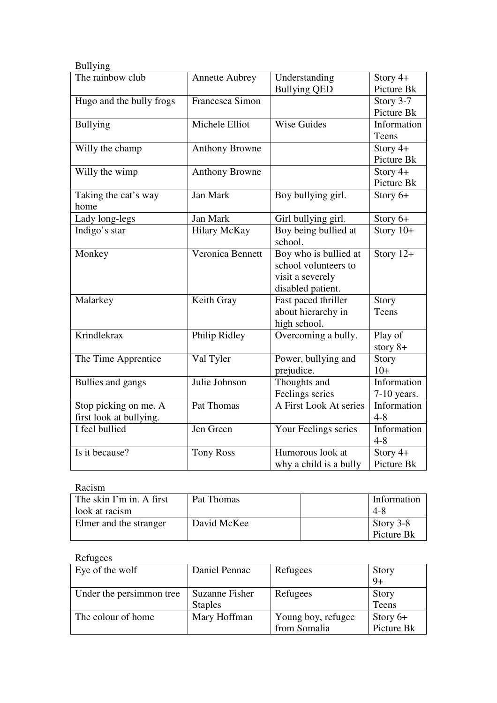| <b>Bullying</b>          |                       |                        |               |
|--------------------------|-----------------------|------------------------|---------------|
| The rainbow club         | <b>Annette Aubrey</b> | Understanding          | Story $4+$    |
|                          |                       | <b>Bullying QED</b>    | Picture Bk    |
| Hugo and the bully frogs | Francesca Simon       |                        | Story 3-7     |
|                          |                       |                        | Picture Bk    |
| <b>Bullying</b>          | Michele Elliot        | <b>Wise Guides</b>     | Information   |
|                          |                       |                        | Teens         |
| Willy the champ          | <b>Anthony Browne</b> |                        | Story 4+      |
|                          |                       |                        | Picture Bk    |
| Willy the wimp           | <b>Anthony Browne</b> |                        | Story 4+      |
|                          |                       |                        | Picture Bk    |
| Taking the cat's way     | Jan Mark              | Boy bullying girl.     | Story 6+      |
| home                     |                       |                        |               |
| Lady long-legs           | Jan Mark              | Girl bullying girl.    | Story 6+      |
| Indigo's star            | <b>Hilary McKay</b>   | Boy being bullied at   | Story $10+$   |
|                          |                       | school.                |               |
| Monkey                   | Veronica Bennett      | Boy who is bullied at  | Story $12+$   |
|                          |                       | school volunteers to   |               |
|                          |                       | visit a severely       |               |
|                          |                       | disabled patient.      |               |
| Malarkey                 | Keith Gray            | Fast paced thriller    | Story         |
|                          |                       | about hierarchy in     | Teens         |
|                          |                       | high school.           |               |
| Krindlekrax              | Philip Ridley         | Overcoming a bully.    | Play of       |
|                          |                       |                        | story $8+$    |
| The Time Apprentice      | Val Tyler             | Power, bullying and    | Story         |
|                          |                       | prejudice.             | $10+$         |
| Bullies and gangs        | Julie Johnson         | Thoughts and           | Information   |
|                          |                       | Feelings series        | $7-10$ years. |
| Stop picking on me. A    | Pat Thomas            | A First Look At series | Information   |
| first look at bullying.  |                       |                        | $4 - 8$       |
| I feel bullied           | Jen Green             | Your Feelings series   | Information   |
|                          |                       |                        | $4 - 8$       |
| Is it because?           | <b>Tony Ross</b>      | Humorous look at       | Story $4+$    |
|                          |                       | why a child is a bully | Picture Bk    |

### Racism

| The skin I'm in. A first | Pat Thomas  | Information |
|--------------------------|-------------|-------------|
| look at racism           |             | 4-8         |
| Elmer and the stranger   | David McKee | Story 3-8   |
|                          |             | Picture Bk  |

### Refugees

| Eye of the wolf          | Daniel Pennac  | Refugees           | Story      |
|--------------------------|----------------|--------------------|------------|
|                          |                |                    | $9+$       |
| Under the persimmon tree | Suzanne Fisher | Refugees           | Story      |
|                          | <b>Staples</b> |                    | Teens      |
| The colour of home       | Mary Hoffman   | Young boy, refugee | Story $6+$ |
|                          |                | from Somalia       | Picture Bk |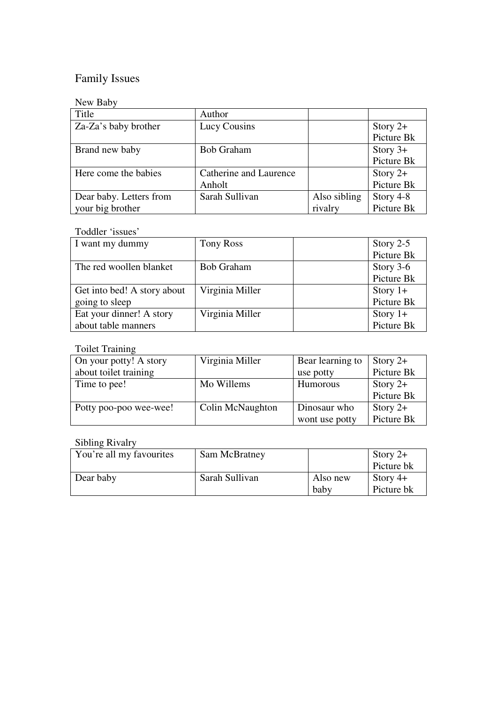# Family Issues

### New Baby

| Title                   | Author                 |              |            |
|-------------------------|------------------------|--------------|------------|
| Za-Za's baby brother    | Lucy Cousins           |              | Story $2+$ |
|                         |                        |              | Picture Bk |
| Brand new baby          | <b>Bob Graham</b>      |              | Story $3+$ |
|                         |                        |              | Picture Bk |
| Here come the babies    | Catherine and Laurence |              | Story $2+$ |
|                         | Anholt                 |              | Picture Bk |
| Dear baby. Letters from | Sarah Sullivan         | Also sibling | Story 4-8  |
| your big brother        |                        | rivalry      | Picture Bk |

### Toddler 'issues'

| I want my dummy             | Tony Ross         | Story $2-5$ |
|-----------------------------|-------------------|-------------|
|                             |                   | Picture Bk  |
| The red woollen blanket     | <b>Bob Graham</b> | Story $3-6$ |
|                             |                   | Picture Bk  |
| Get into bed! A story about | Virginia Miller   | Story $1+$  |
| going to sleep              |                   | Picture Bk  |
| Eat your dinner! A story    | Virginia Miller   | Story $1+$  |
| about table manners         |                   | Picture Bk  |

### Toilet Training

| On your potty! A story | Virginia Miller         | Bear learning to | Story $2+$ |
|------------------------|-------------------------|------------------|------------|
| about toilet training  |                         | use potty        | Picture Bk |
| Time to pee!           | Mo Willems              | <b>Humorous</b>  | Story $2+$ |
|                        |                         |                  | Picture Bk |
| Potty poo-poo wee-wee! | <b>Colin McNaughton</b> | Dinosaur who     | Story $2+$ |
|                        |                         | wont use potty   | Picture Bk |

### Sibling Rivalry

| You're all my favourites | Sam McBratney  |          | Story $2+$ |
|--------------------------|----------------|----------|------------|
|                          |                |          | Picture bk |
| Dear baby                | Sarah Sullivan | Also new | Story $4+$ |
|                          |                | baby     | Picture bk |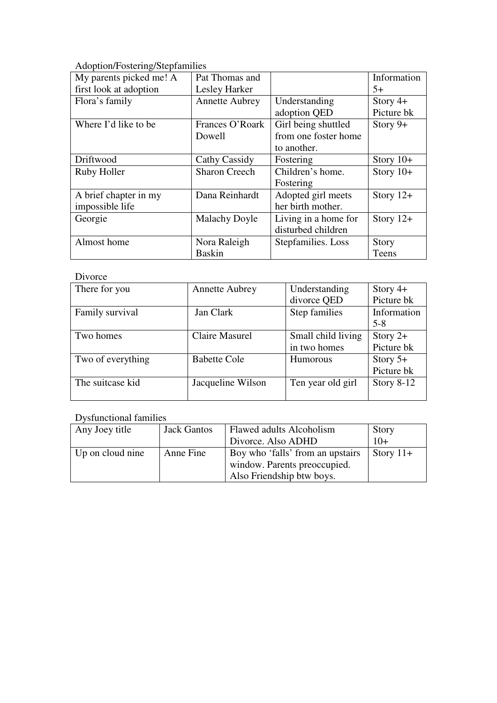Adoption/Fostering/Stepfamilies

| My parents picked me! A | Pat Thomas and        |                      | Information |
|-------------------------|-----------------------|----------------------|-------------|
| first look at adoption  | Lesley Harker         |                      | $5+$        |
| Flora's family          | <b>Annette Aubrey</b> | Understanding        | Story $4+$  |
|                         |                       | adoption QED         | Picture bk  |
| Where I'd like to be    | Frances O'Roark       | Girl being shuttled  | Story $9+$  |
|                         | Dowell                | from one foster home |             |
|                         |                       | to another.          |             |
| Driftwood               | Cathy Cassidy         | Fostering            | Story $10+$ |
| Ruby Holler             | <b>Sharon Creech</b>  | Children's home.     | Story $10+$ |
|                         |                       | Fostering            |             |
| A brief chapter in my   | Dana Reinhardt        | Adopted girl meets   | Story $12+$ |
| impossible life         |                       | her birth mother.    |             |
| Georgie                 | <b>Malachy Doyle</b>  | Living in a home for | Story $12+$ |
|                         |                       | disturbed children   |             |
| Almost home             | Nora Raleigh          | Stepfamilies. Loss   | Story       |
|                         | <b>Baskin</b>         |                      | Teens       |

#### Divorce

| There for you     | <b>Annette Aubrey</b> | Understanding      | Story $4+$   |
|-------------------|-----------------------|--------------------|--------------|
|                   |                       | divorce QED        | Picture bk   |
| Family survival   | Jan Clark             | Step families      | Information  |
|                   |                       |                    | $5 - 8$      |
| Two homes         | <b>Claire Masurel</b> | Small child living | Story $2+$   |
|                   |                       | in two homes       | Picture bk   |
| Two of everything | <b>Babette Cole</b>   | Humorous           | Story $5+$   |
|                   |                       |                    | Picture bk   |
| The suitcase kid  | Jacqueline Wilson     | Ten year old girl  | Story $8-12$ |
|                   |                       |                    |              |

## Dysfunctional families

| Any Joey title   | <b>Jack Gantos</b> | Flawed adults Alcoholism         | Story       |
|------------------|--------------------|----------------------------------|-------------|
|                  |                    | Divorce. Also ADHD               | $10+$       |
| Up on cloud nine | Anne Fine          | Boy who 'falls' from an upstairs | Story $11+$ |
|                  |                    | window. Parents preoccupied.     |             |
|                  |                    | Also Friendship btw boys.        |             |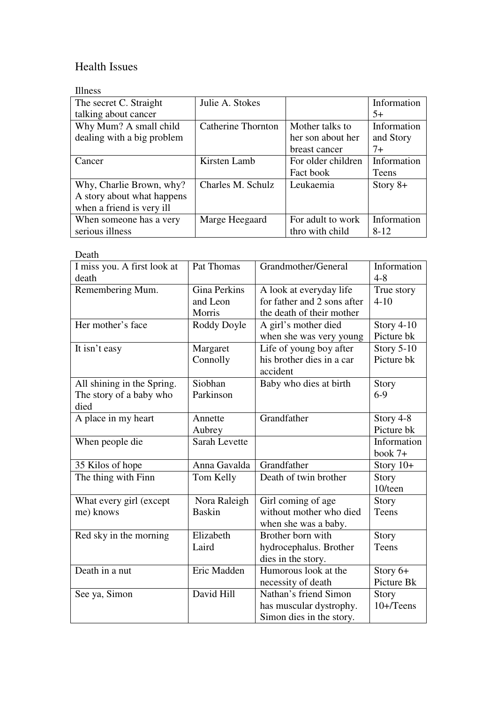# Health Issues

### Illness

| The secret C. Straight     | Julie A. Stokes    |                    | Information |
|----------------------------|--------------------|--------------------|-------------|
|                            |                    |                    |             |
| talking about cancer       |                    |                    | $5+$        |
| Why Mum? A small child     | Catherine Thornton | Mother talks to    | Information |
| dealing with a big problem |                    | her son about her  | and Story   |
|                            |                    | breast cancer      | $7+$        |
| Cancer                     | Kirsten Lamb       | For older children | Information |
|                            |                    | Fact book          | Teens       |
| Why, Charlie Brown, why?   | Charles M. Schulz  | Leukaemia          | Story $8+$  |
| A story about what happens |                    |                    |             |
| when a friend is very ill  |                    |                    |             |
| When someone has a very    | Marge Heegaard     | For adult to work  | Information |
| serious illness            |                    | thro with child    | $8 - 12$    |

| Death                       |               |                             |                   |
|-----------------------------|---------------|-----------------------------|-------------------|
| I miss you. A first look at | Pat Thomas    | Grandmother/General         | Information       |
| death                       |               |                             | $4 - 8$           |
| Remembering Mum.            | Gina Perkins  | A look at everyday life     | True story        |
|                             | and Leon      | for father and 2 sons after | $4 - 10$          |
|                             | Morris        | the death of their mother   |                   |
| Her mother's face           | Roddy Doyle   | A girl's mother died        | Story $4-10$      |
|                             |               | when she was very young     | Picture bk        |
| It isn't easy               | Margaret      | Life of young boy after     | <b>Story 5-10</b> |
|                             | Connolly      | his brother dies in a car   | Picture bk        |
|                             |               | accident                    |                   |
| All shining in the Spring.  | Siobhan       | Baby who dies at birth      | Story             |
| The story of a baby who     | Parkinson     |                             | $6 - 9$           |
| died                        |               |                             |                   |
| A place in my heart         | Annette       | Grandfather                 | Story 4-8         |
|                             | Aubrey        |                             | Picture bk        |
| When people die             | Sarah Levette |                             | Information       |
|                             |               |                             | book $7+$         |
| 35 Kilos of hope            | Anna Gavalda  | Grandfather                 | Story $10+$       |
| The thing with Finn         | Tom Kelly     | Death of twin brother       | Story             |
|                             |               |                             | 10/teen           |
| What every girl (except     | Nora Raleigh  | Girl coming of age          | Story             |
| me) knows                   | <b>Baskin</b> | without mother who died     | Teens             |
|                             |               | when she was a baby.        |                   |
| Red sky in the morning      | Elizabeth     | Brother born with           | Story             |
|                             | Laird         | hydrocephalus. Brother      | Teens             |
|                             |               | dies in the story.          |                   |
| Death in a nut              | Eric Madden   | Humorous look at the        | Story $6+$        |
|                             |               | necessity of death          | Picture Bk        |
| See ya, Simon               | David Hill    | Nathan's friend Simon       | <b>Story</b>      |
|                             |               | has muscular dystrophy.     | $10+$ /Teens      |
|                             |               |                             |                   |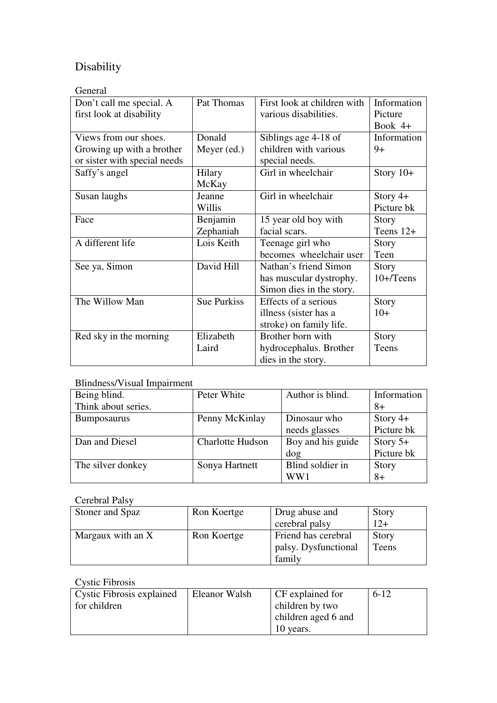# Disability

### General

| Don't call me special. A     | Pat Thomas         | First look at children with | Information  |
|------------------------------|--------------------|-----------------------------|--------------|
| first look at disability     |                    | various disabilities.       | Picture      |
|                              |                    |                             | Book $4+$    |
| Views from our shoes.        | Donald             | Siblings age 4-18 of        | Information  |
| Growing up with a brother    | Meyer (ed.)        | children with various       | 9+           |
| or sister with special needs |                    | special needs.              |              |
| Saffy's angel                | Hilary             | Girl in wheelchair          | Story $10+$  |
|                              | McKay              |                             |              |
| Susan laughs                 | Jeanne             | Girl in wheelchair          | Story $4+$   |
|                              | Willis             |                             | Picture bk   |
| Face                         | Benjamin           | 15 year old boy with        | Story        |
|                              | Zephaniah          | facial scars.               | Teens 12+    |
| A different life             | Lois Keith         | Teenage girl who            | <b>Story</b> |
|                              |                    | becomes wheelchair user     | Teen         |
| See ya, Simon                | David Hill         | Nathan's friend Simon       | Story        |
|                              |                    | has muscular dystrophy.     | $10+$ /Teens |
|                              |                    | Simon dies in the story.    |              |
| The Willow Man               | <b>Sue Purkiss</b> | Effects of a serious        | Story        |
|                              |                    | illness (sister has a       | $10+$        |
|                              |                    | stroke) on family life.     |              |
| Red sky in the morning       | Elizabeth          | Brother born with           | Story        |
|                              | Laird              | hydrocephalus. Brother      | Teens        |
|                              |                    | dies in the story.          |              |

### Blindness/Visual Impairment

| Being blind.        | Peter White      | Author is blind.  | Information |
|---------------------|------------------|-------------------|-------------|
| Think about series. |                  |                   | $8+$        |
| <b>Bumposaurus</b>  | Penny McKinlay   | Dinosaur who      | Story $4+$  |
|                     |                  | needs glasses     | Picture bk  |
| Dan and Diesel      | Charlotte Hudson | Boy and his guide | Story $5+$  |
|                     |                  | dog               | Picture bk  |
| The silver donkey   | Sonya Hartnett   | Blind soldier in  | Story       |
|                     |                  | WW1               | $8+$        |

# Cerebral Palsy

| Stoner and Spaz   | Ron Koertge | Drug abuse and       | Story |
|-------------------|-------------|----------------------|-------|
|                   |             | cerebral palsy       | $12+$ |
| Margaux with an X | Ron Koertge | Friend has cerebral  | Story |
|                   |             | palsy. Dysfunctional | Teens |
|                   |             | family               |       |

# Cystic Fibrosis

| <b>Cystic Fibrosis explained</b> | Eleanor Walsh | <b>CF</b> explained for | $6-12$ |
|----------------------------------|---------------|-------------------------|--------|
| for children                     |               | children by two         |        |
|                                  |               | children aged 6 and     |        |
|                                  |               | 10 years.               |        |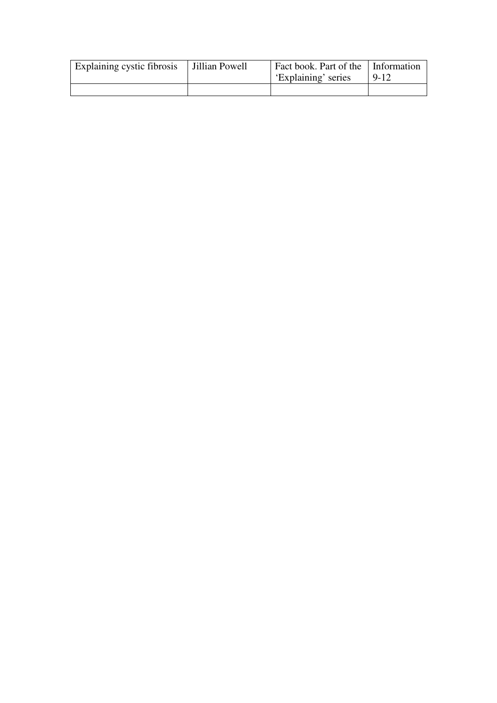| Explaining cystic fibrosis | Jillian Powell | Fact book. Part of the Information<br>'Explaining' series | 9-12 |
|----------------------------|----------------|-----------------------------------------------------------|------|
|                            |                |                                                           |      |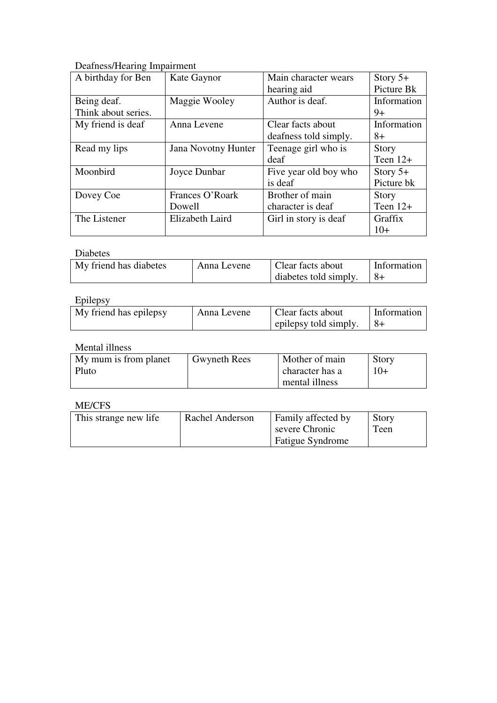Deafness/Hearing Impairment

| A birthday for Ben  | Kate Gaynor                | Main character wears  | Story $5+$   |
|---------------------|----------------------------|-----------------------|--------------|
|                     |                            | hearing aid           | Picture Bk   |
| Being deaf.         | Maggie Wooley              | Author is deaf.       | Information  |
| Think about series. |                            |                       | $9+$         |
| My friend is deaf   | Anna Levene                | Clear facts about     | Information  |
|                     |                            | deafness told simply. | 8+           |
| Read my lips        | <b>Jana Novotny Hunter</b> | Teenage girl who is   | <b>Story</b> |
|                     |                            | deaf                  | Teen $12+$   |
| Moonbird            | Joyce Dunbar               | Five year old boy who | Story $5+$   |
|                     |                            | is deaf               | Picture bk   |
| Dovey Coe           | Frances O'Roark            | Brother of main       | <b>Story</b> |
|                     | Dowell                     | character is deaf     | Teen $12+$   |
| The Listener        | Elizabeth Laird            | Girl in story is deaf | Graffix      |
|                     |                            |                       | $10+$        |

### Diabetes

| My friend has diabetes | Anna Levene | Clear facts about     | Information |
|------------------------|-------------|-----------------------|-------------|
|                        |             | diabetes told simply. |             |

### Epilepsy

| ------                 |             |                       |             |
|------------------------|-------------|-----------------------|-------------|
| My friend has epilepsy | Anna Levene | Clear facts about     | Information |
|                        |             | epilepsy told simply. |             |

## Mental illness

| My mum is from planet | <b>Gwyneth Rees</b> | Mother of main  | <b>Story</b> |
|-----------------------|---------------------|-----------------|--------------|
| Pluto                 |                     | character has a | $10+$        |
|                       |                     | mental illness  |              |

### ME/CFS

| This strange new life | Rachel Anderson | Family affected by      | <b>Story</b> |
|-----------------------|-----------------|-------------------------|--------------|
|                       |                 | severe Chronic          | Teen         |
|                       |                 | <b>Fatigue Syndrome</b> |              |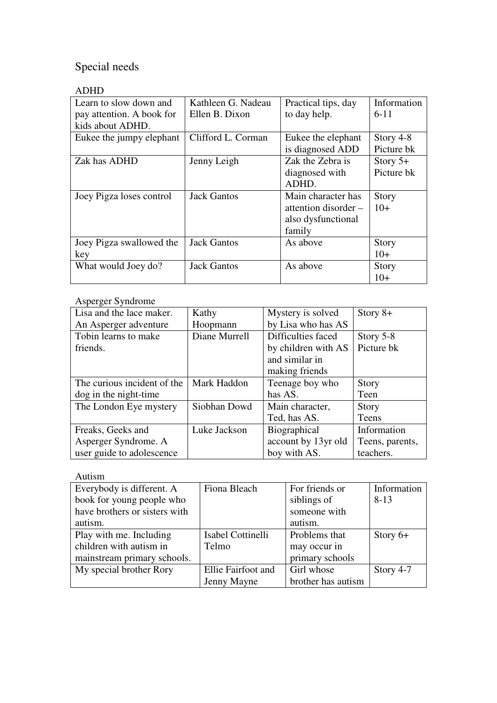# Special needs

# ADHD

| Learn to slow down and    | Kathleen G. Nadeau | Practical tips, day  | Information  |
|---------------------------|--------------------|----------------------|--------------|
| pay attention. A book for | Ellen B. Dixon     | to day help.         | $6 - 11$     |
| kids about ADHD.          |                    |                      |              |
| Eukee the jumpy elephant  | Clifford L. Corman | Eukee the elephant   | Story 4-8    |
|                           |                    | is diagnosed ADD     | Picture bk   |
| Zak has ADHD              | Jenny Leigh        | Zak the Zebra is     | Story $5+$   |
|                           |                    | diagnosed with       | Picture bk   |
|                           |                    | ADHD.                |              |
| Joey Pigza loses control  | <b>Jack Gantos</b> | Main character has   | Story        |
|                           |                    | attention disorder – | $10+$        |
|                           |                    | also dysfunctional   |              |
|                           |                    | family               |              |
| Joey Pigza swallowed the  | <b>Jack Gantos</b> | As above             | <b>Story</b> |
| key                       |                    |                      | $10+$        |
| What would Joey do?       | <b>Jack Gantos</b> | As above             | <b>Story</b> |
|                           |                    |                      | $10+$        |

### Asperger Syndrome

| Lisa and the lace maker.    | Kathy         | Mystery is solved   | Story $8+$      |
|-----------------------------|---------------|---------------------|-----------------|
| An Asperger adventure       | Hoopmann      | by Lisa who has AS  |                 |
| Tobin learns to make        | Diane Murrell | Difficulties faced  | Story $5-8$     |
| friends.                    |               | by children with AS | Picture bk      |
|                             |               | and similar in      |                 |
|                             |               | making friends      |                 |
| The curious incident of the | Mark Haddon   | Teenage boy who     | <b>Story</b>    |
| dog in the night-time       |               | has AS.             | Teen            |
| The London Eye mystery      | Siobhan Dowd  | Main character,     | <b>Story</b>    |
|                             |               | Ted, has AS.        | Teens           |
| Freaks, Geeks and           | Luke Jackson  | Biographical        | Information     |
| Asperger Syndrome. A        |               | account by 13yr old | Teens, parents, |
| user guide to adolescence   |               | boy with AS.        | teachers.       |

## Autism

| Everybody is different. A     | Fiona Bleach       | For friends or     | Information |
|-------------------------------|--------------------|--------------------|-------------|
| book for young people who     |                    | siblings of        | $8 - 13$    |
| have brothers or sisters with |                    | someone with       |             |
| autism.                       |                    | autism.            |             |
| Play with me. Including       | Isabel Cottinelli  | Problems that      | Story $6+$  |
| children with autism in       | Telmo              | may occur in       |             |
| mainstream primary schools.   |                    | primary schools    |             |
| My special brother Rory       | Ellie Fairfoot and | Girl whose         | Story 4-7   |
|                               | Jenny Mayne        | brother has autism |             |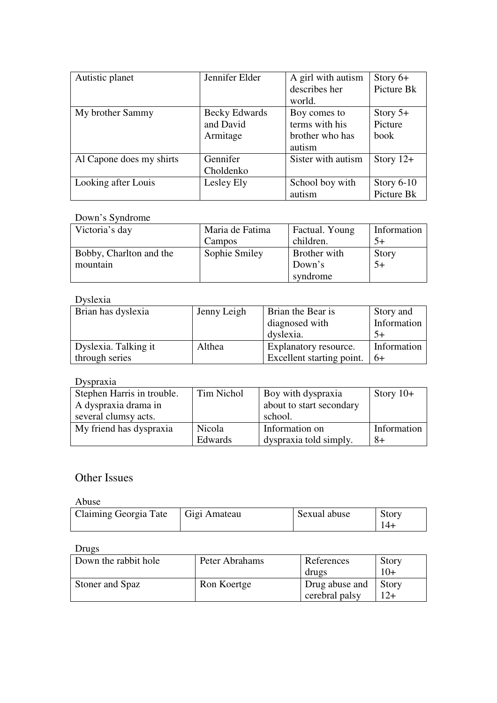| Autistic planet          | Jennifer Elder | A girl with autism | Story $6+$   |
|--------------------------|----------------|--------------------|--------------|
|                          |                | describes her      | Picture Bk   |
|                          |                | world.             |              |
| My brother Sammy         | Becky Edwards  | Boy comes to       | Story $5+$   |
|                          | and David      | terms with his     | Picture      |
|                          | Armitage       | brother who has    | book         |
|                          |                | autism             |              |
| Al Capone does my shirts | Gennifer       | Sister with autism | Story $12+$  |
|                          | Choldenko      |                    |              |
| Looking after Louis      | Lesley Ely     | School boy with    | Story $6-10$ |
|                          |                | autism             | Picture Bk   |

### Down's Syndrome

| Victoria's day          | Maria de Fatima | Factual. Young | Information |
|-------------------------|-----------------|----------------|-------------|
|                         | Campos          | children.      | $.5+$       |
| Bobby, Charlton and the | Sophie Smiley   | Brother with   | Story       |
| mountain                |                 | Down's         | $5+$        |
|                         |                 | syndrome       |             |

# Dyslexia

| Brian has dyslexia   | Jenny Leigh | <b>Brian the Bear is</b><br>diagnosed with<br>dyslexia. | Story and<br>Information |
|----------------------|-------------|---------------------------------------------------------|--------------------------|
| Dyslexia. Talking it | Althea      | <b>Explanatory resource.</b>                            | Information              |
| through series       |             | Excellent starting point.                               | -6+                      |

# Dyspraxia

| Stephen Harris in trouble. | Tim Nichol | Boy with dyspraxia       | Story $10+$ |
|----------------------------|------------|--------------------------|-------------|
| A dyspraxia drama in       |            | about to start secondary |             |
| several clumsy acts.       |            | school.                  |             |
| My friend has dyspraxia    | Nicola     | Information on           | Information |
|                            | Edwards    | dyspraxia told simply.   | $8+$        |

# Other Issues

#### Abuse

| ------                |              |              |       |
|-----------------------|--------------|--------------|-------|
| Claiming Georgia Tate | Gigi Amateau | Sexual abuse | Story |
|                       |              |              |       |

### Drugs

| Down the rabbit hole | Peter Abrahams | References     | <b>Story</b> |
|----------------------|----------------|----------------|--------------|
|                      |                | drugs          | $10+$        |
| Stoner and Spaz      | Ron Koertge    | Drug abuse and | Story        |
|                      |                | cerebral palsy |              |